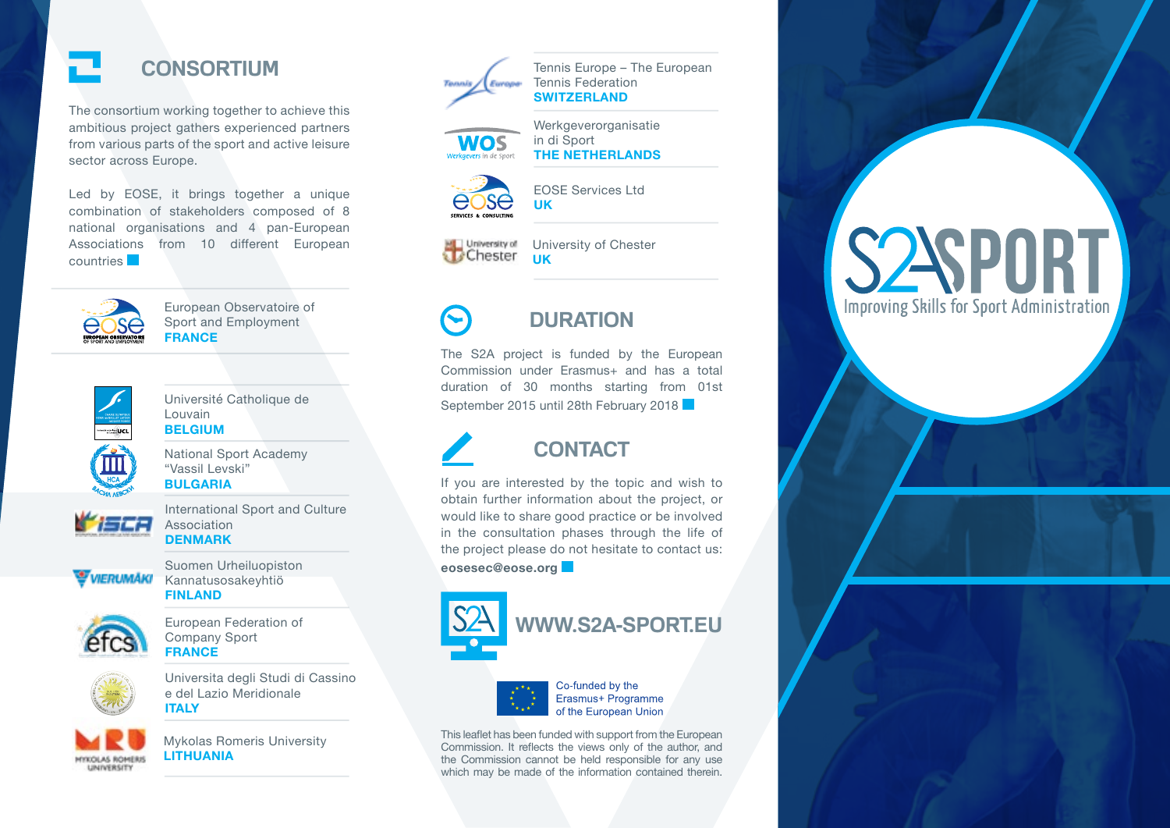

The consortium working together to achieve this ambitious project gathers experienced partners from various parts of the sport and active leisure sector across Europe.

Led by EOSE, it brings together a unique combination of stakeholders composed of 8 national organisations and 4 pan-European Associations from 10 different European countries



European Observatoire of Sport and Employment **FRANCE**



National Sport Academy "Vassil Levski" **BULGARIA**

Université Catholique de

Louvain **BELGIUM**



International Sport and Culture Association **DENMARK**



Suomen Urheiluopiston WERUMAKI Kannatusosakeyhtiö **FINLAND**



European Federation of Company Sport **FRANCE**



Universita degli Studi di Cassino e del Lazio Meridionale **ITALY**



Mykolas Romeris University **LITHUANIA**



Tennis Europe – The European Tennis Federation **SWITZERLAND**





EOSE Services Ltd **UK**

Werkgeverorganisatie

**THE NETHERLANDS**

in di Sport

University of Chester

University of Chester **UK**

# **DURATION**

The S2A project is funded by the European Commission under Erasmus+ and has a total duration of 30 months starting from 01st September 2015 until 28th February 2018

# **CONTACT**

If you are interested by the topic and wish to obtain further information about the project, or would like to share good practice or be involved in the consultation phases through the life of the project please do not hesitate to contact us: **eosesec@eose.org**





of the European Union This leaflet has been funded with support from the European Commission. It reflects the views only of the author, and

the Commission cannot be held responsible for any use which may be made of the information contained therein.

# **S2SPORT Improving Skills for Sport Administration**